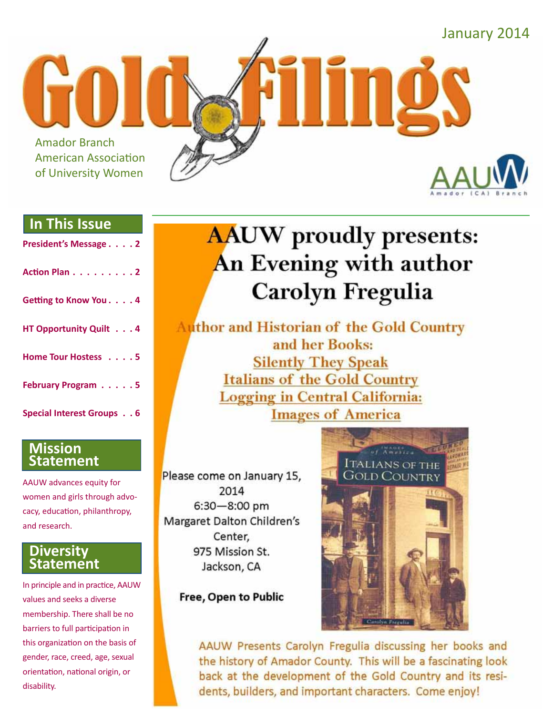

### **In This Issue**

| President's Message 2            |
|----------------------------------|
| Action Plan 2                    |
| Getting to Know You. 4           |
| HT Opportunity Quilt 4           |
| Home Tour Hostess 5              |
| February Program 5               |
| <b>Special Interest Groups 6</b> |

### **Mission Statement**

AAUW advances equity for women and girls through advocacy, education, philanthropy, and research.

### **Diversity Statement**

In principle and in practice, AAUW values and seeks a diverse membership. There shall be no barriers to full participation in this organization on the basis of gender, race, creed, age, sexual orientation, national origin, or disability.

# **AAUW** proudly presents: An Evening with author **Carolyn Fregulia**

**Author and Historian of the Gold Country** and her Books: **Silently They Speak Italians of the Gold Country Logging in Central California: Images of America** 

Please come on January 15, 2014  $6:30 - 8:00$  pm Margaret Dalton Children's Center, 975 Mission St. Jackson, CA

Free, Open to Public



AAUW Presents Carolyn Fregulia discussing her books and the history of Amador County. This will be a fascinating look back at the development of the Gold Country and its residents, builders, and important characters. Come enjoy!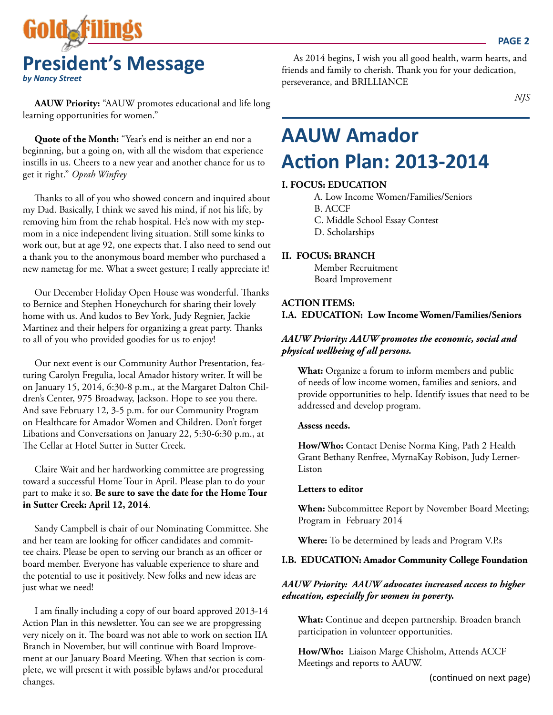

**AAUW Priority:** "AAUW promotes educational and life long learning opportunities for women."

**Quote of the Month:** "Year's end is neither an end nor a beginning, but a going on, with all the wisdom that experience instills in us. Cheers to a new year and another chance for us to get it right." *Oprah Winfrey*

Thanks to all of you who showed concern and inquired about my Dad. Basically, I think we saved his mind, if not his life, by removing him from the rehab hospital. He's now with my stepmom in a nice independent living situation. Still some kinks to work out, but at age 92, one expects that. I also need to send out a thank you to the anonymous board member who purchased a new nametag for me. What a sweet gesture; I really appreciate it!

Our December Holiday Open House was wonderful. Thanks to Bernice and Stephen Honeychurch for sharing their lovely home with us. And kudos to Bev York, Judy Regnier, Jackie Martinez and their helpers for organizing a great party. Thanks to all of you who provided goodies for us to enjoy!

Our next event is our Community Author Presentation, featuring Carolyn Fregulia, local Amador history writer. It will be on January 15, 2014, 6:30-8 p.m., at the Margaret Dalton Children's Center, 975 Broadway, Jackson. Hope to see you there. And save February 12, 3-5 p.m. for our Community Program on Healthcare for Amador Women and Children. Don't forget Libations and Conversations on January 22, 5:30-6:30 p.m., at The Cellar at Hotel Sutter in Sutter Creek.

Claire Wait and her hardworking committee are progressing toward a successful Home Tour in April. Please plan to do your part to make it so. **Be sure to save the date for the Home Tour in Sutter Creek: April 12, 2014**.

Sandy Campbell is chair of our Nominating Committee. She and her team are looking for officer candidates and committee chairs. Please be open to serving our branch as an officer or board member. Everyone has valuable experience to share and the potential to use it positively. New folks and new ideas are just what we need!

I am finally including a copy of our board approved 2013-14 Action Plan in this newsletter. You can see we are propgressing very nicely on it. The board was not able to work on section IIA Branch in November, but will continue with Board Improvement at our January Board Meeting. When that section is complete, we will present it with possible bylaws and/or procedural changes.

As 2014 begins, I wish you all good health, warm hearts, and friends and family to cherish. Thank you for your dedication, perseverance, and BRILLIANCE

*NJS* 

# **AAUW Amador Action Plan: 2013-2014**

### **I. FOCUS: EDUCATION**

A. Low Income Women/Families/Seniors B. ACCF C. Middle School Essay Contest D. Scholarships

### **II. FOCUS: BRANCH**

Member Recruitment Board Improvement

### **ACTION ITEMS: I.A. EDUCATION: Low Income Women/Families/Seniors**

### *AAUW Priority: AAUW promotes the economic, social and physical wellbeing of all persons.*

**What:** Organize a forum to inform members and public of needs of low income women, families and seniors, and provide opportunities to help. Identify issues that need to be addressed and develop program.

### **Assess needs.**

**How/Who:** Contact Denise Norma King, Path 2 Health Grant Bethany Renfree, MyrnaKay Robison, Judy Lerner-Liston

#### **Letters to editor**

**When:** Subcommittee Report by November Board Meeting; Program in February 2014

**Where:** To be determined by leads and Program V.P.s

### **I.B. EDUCATION: Amador Community College Foundation**

### *AAUW Priority: AAUW advocates increased access to higher education, especially for women in poverty.*

**What:** Continue and deepen partnership. Broaden branch participation in volunteer opportunities.

**How/Who:** Liaison Marge Chisholm, Attends ACCF Meetings and reports to AAUW.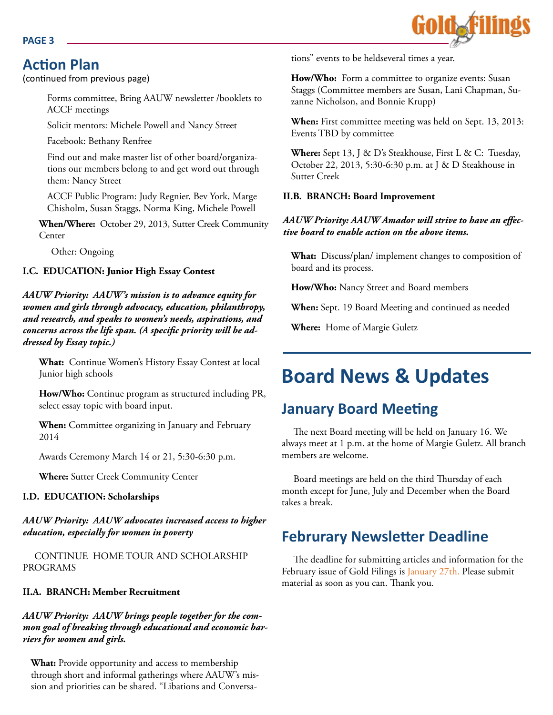### **PAGE 3**

## **Action Plan**

(continued from previous page)

Forms committee, Bring AAUW newsletter /booklets to ACCF meetings

Solicit mentors: Michele Powell and Nancy Street

Facebook: Bethany Renfree

Find out and make master list of other board/organizations our members belong to and get word out through them: Nancy Street

ACCF Public Program: Judy Regnier, Bev York, Marge Chisholm, Susan Staggs, Norma King, Michele Powell

**When/Where:** October 29, 2013, Sutter Creek Community Center

Other: Ongoing

### **I.C. EDUCATION: Junior High Essay Contest**

*AAUW Priority: AAUW's mission is to advance equity for women and girls through advocacy, education, philanthropy, and research, and speaks to women's needs, aspirations, and concerns across the life span. (A specific priority will be addressed by Essay topic.)*

**What:** Continue Women's History Essay Contest at local Junior high schools

**How/Who:** Continue program as structured including PR, select essay topic with board input.

**When:** Committee organizing in January and February 2014

Awards Ceremony March 14 or 21, 5:30-6:30 p.m.

**Where:** Sutter Creek Community Center

### **I.D. EDUCATION: Scholarships**

*AAUW Priority: AAUW advocates increased access to higher education, especially for women in poverty*

CONTINUE HOME TOUR AND SCHOLARSHIP PROGRAMS

### **II.A. BRANCH: Member Recruitment**

*AAUW Priority: AAUW brings people together for the common goal of breaking through educational and economic barriers for women and girls.*

**What:** Provide opportunity and access to membership through short and informal gatherings where AAUW's mission and priorities can be shared. "Libations and Conversations" events to be heldseveral times a year.

**How/Who:** Form a committee to organize events: Susan Staggs (Committee members are Susan, Lani Chapman, Suzanne Nicholson, and Bonnie Krupp)

**When:** First committee meeting was held on Sept. 13, 2013: Events TBD by committee

**Where:** Sept 13, J & D's Steakhouse, First L & C: Tuesday, October 22, 2013, 5:30-6:30 p.m. at J & D Steakhouse in Sutter Creek

### **II.B. BRANCH: Board Improvement**

### *AAUW Priority: AAUW Amador will strive to have an effective board to enable action on the above items.*

**What:** Discuss/plan/ implement changes to composition of board and its process.

**How/Who:** Nancy Street and Board members

**When:** Sept. 19 Board Meeting and continued as needed

**Where:** Home of Margie Guletz

## **Board News & Updates**

## **January Board Meeting**

The next Board meeting will be held on January 16. We always meet at 1 p.m. at the home of Margie Guletz. All branch members are welcome.

Board meetings are held on the third Thursday of each month except for June, July and December when the Board takes a break.

## **Februrary Newsletter Deadline**

The deadline for submitting articles and information for the February issue of Gold Filings is January 27th. Please submit material as soon as you can. Thank you.

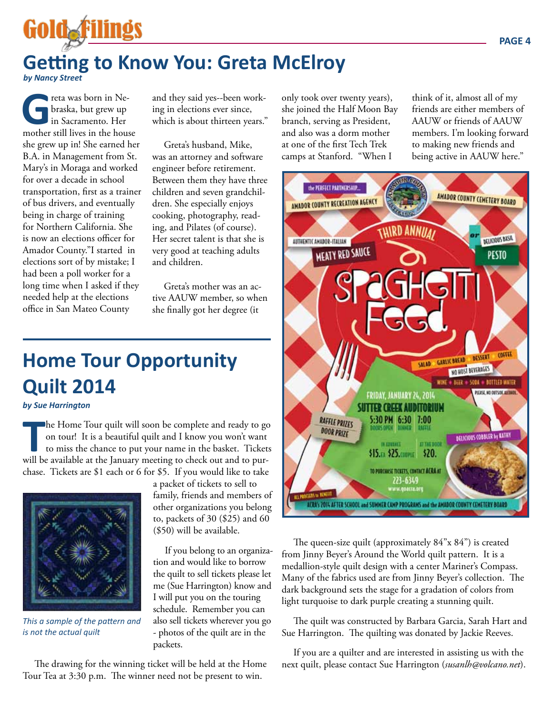# **Getting to Know You: Greta McElroy**

*by Nancy Street*

Gold F

**G**reta was born in Ne-<br>braska, but grew up<br>in Sacramento. Her<br>mother still lives in the house braska, but grew up in Sacramento. Her she grew up in! She earned her B.A. in Management from St. Mary's in Moraga and worked for over a decade in school transportation, first as a trainer of bus drivers, and eventually being in charge of training for Northern California. She is now an elections officer for Amador County."I started in elections sort of by mistake; I had been a poll worker for a long time when I asked if they needed help at the elections office in San Mateo County

and they said yes--been working in elections ever since, which is about thirteen years."

Greta's husband, Mike, was an attorney and software engineer before retirement. Between them they have three children and seven grandchildren. She especially enjoys cooking, photography, reading, and Pilates (of course). Her secret talent is that she is very good at teaching adults and children.

Greta's mother was an active AAUW member, so when she finally got her degree (it

# **Home Tour Opportunity Quilt 2014**

### *by Sue Harrington*

The Home Tour quilt will soon be complete and ready to go on tour! It is a beautiful quilt and I know you won't want to miss the chance to put your name in the basket. Ticket will be available at the January meeting to che he Home Tour quilt will soon be complete and ready to go on tour! It is a beautiful quilt and I know you won't want to miss the chance to put your name in the basket. Tickets chase. Tickets are \$1 each or 6 for \$5. If you would like to take



*This a sample of the pattern and is not the actual quilt*

a packet of tickets to sell to family, friends and members of other organizations you belong to, packets of 30 (\$25) and 60 (\$50) will be available.

If you belong to an organization and would like to borrow the quilt to sell tickets please let me (Sue Harrington) know and I will put you on the touring schedule. Remember you can also sell tickets wherever you go - photos of the quilt are in the packets.

The drawing for the winning ticket will be held at the Home Tour Tea at 3:30 p.m. The winner need not be present to win.

only took over twenty years), she joined the Half Moon Bay branch, serving as President, and also was a dorm mother at one of the first Tech Trek camps at Stanford. "When I

think of it, almost all of my friends are either members of AAUW or friends of AAUW members. I'm looking forward to making new friends and being active in AAUW here."



The queen-size quilt (approximately 84"x 84") is created from Jinny Beyer's Around the World quilt pattern. It is a medallion-style quilt design with a center Mariner's Compass. Many of the fabrics used are from Jinny Beyer's collection. The dark background sets the stage for a gradation of colors from light turquoise to dark purple creating a stunning quilt.

The quilt was constructed by Barbara Garcia, Sarah Hart and Sue Harrington. The quilting was donated by Jackie Reeves.

If you are a quilter and are interested in assisting us with the next quilt, please contact Sue Harrington (*susanlh@volcano.net*).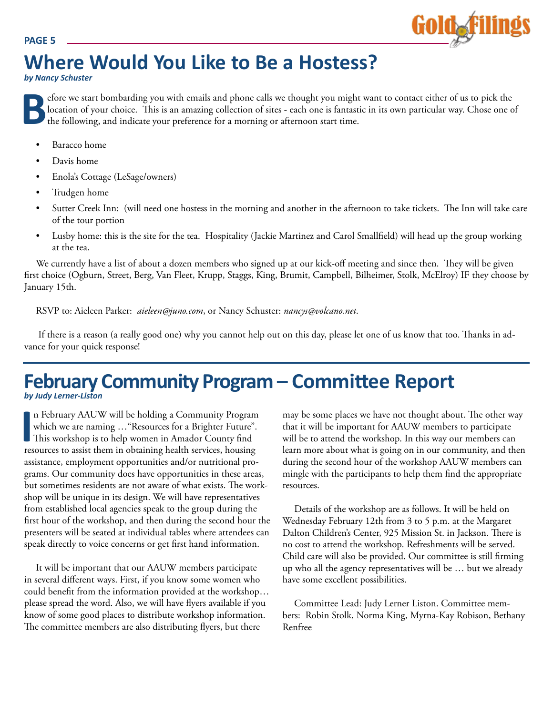#### **PAGE 5**



# **Where Would You Like to Be a Hostess?**

*by Nancy Schuster*

**B**efore we start bombarding you with emails and phone calls we thought you might want to contact either of us to pick the location of your choice. This is an amazing collection of sites - each one is fantastic in its own particular way. Chose one of the following, and indicate your preference for a morning or afternoon start time.

- Baracco home
- Davis home
- Enola's Cottage (LeSage/owners)
- Trudgen home
- Sutter Creek Inn: (will need one hostess in the morning and another in the afternoon to take tickets. The Inn will take care of the tour portion
- Lusby home: this is the site for the tea. Hospitality (Jackie Martinez and Carol Smallfield) will head up the group working at the tea.

We currently have a list of about a dozen members who signed up at our kick-off meeting and since then. They will be given first choice (Ogburn, Street, Berg, Van Fleet, Krupp, Staggs, King, Brumit, Campbell, Bilheimer, Stolk, McElroy) IF they choose by January 15th.

RSVP to: Aieleen Parker: *aieleen@juno.com*, or Nancy Schuster: *nancys@volcano.net*.

 If there is a reason (a really good one) why you cannot help out on this day, please let one of us know that too. Thanks in advance for your quick response!

### **February Community Program – Committee Report** *by Judy Lerner-Liston*

In February AAUW will be holding a Community Program which we are naming ... "Resources for a Brighter Future".<br>This workshop is to help women in Amador County find resources to assist them in obtaining health services, ho n February AAUW will be holding a Community Program which we are naming …"Resources for a Brighter Future". This workshop is to help women in Amador County find assistance, employment opportunities and/or nutritional programs. Our community does have opportunities in these areas, but sometimes residents are not aware of what exists. The workshop will be unique in its design. We will have representatives from established local agencies speak to the group during the first hour of the workshop, and then during the second hour the presenters will be seated at individual tables where attendees can speak directly to voice concerns or get first hand information.

It will be important that our AAUW members participate in several different ways. First, if you know some women who could benefit from the information provided at the workshop… please spread the word. Also, we will have flyers available if you know of some good places to distribute workshop information. The committee members are also distributing flyers, but there

may be some places we have not thought about. The other way that it will be important for AAUW members to participate will be to attend the workshop. In this way our members can learn more about what is going on in our community, and then during the second hour of the workshop AAUW members can mingle with the participants to help them find the appropriate resources.

Details of the workshop are as follows. It will be held on Wednesday February 12th from 3 to 5 p.m. at the Margaret Dalton Children's Center, 925 Mission St. in Jackson. There is no cost to attend the workshop. Refreshments will be served. Child care will also be provided. Our committee is still firming up who all the agency representatives will be … but we already have some excellent possibilities.

Committee Lead: Judy Lerner Liston. Committee members: Robin Stolk, Norma King, Myrna-Kay Robison, Bethany Renfree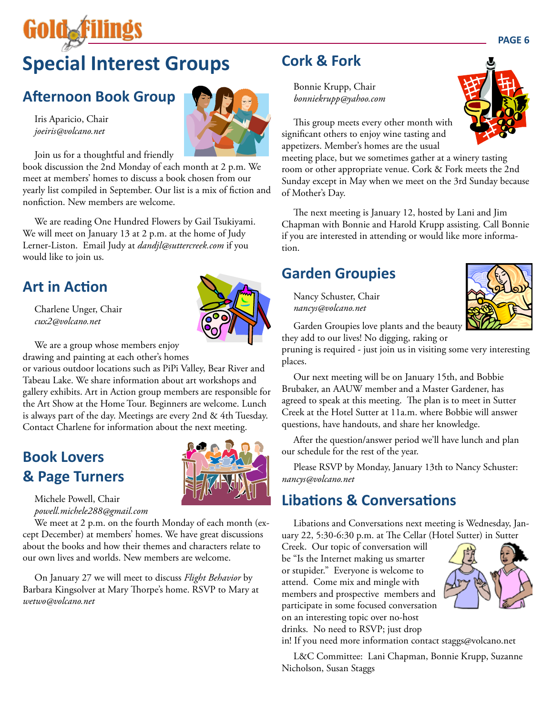# **Special Interest Groups**

## **Afternoon Book Group**

Iris Aparicio, Chair *joeiris@volcano.net*

**GOIO&F** 

Join us for a thoughtful and friendly

book discussion the 2nd Monday of each month at 2 p.m. We meet at members' homes to discuss a book chosen from our yearly list compiled in September. Our list is a mix of fiction and nonfiction. New members are welcome.

We are reading One Hundred Flowers by Gail Tsukiyami. We will meet on January 13 at 2 p.m. at the home of Judy Lerner-Liston. Email Judy at *dandjl@suttercreek.com* if you would like to join us.

### **Art in Action**

Charlene Unger, Chair *cux2@volcano.net*



We are a group whose members enjoy

drawing and painting at each other's homes

or various outdoor locations such as PiPi Valley, Bear River and Tabeau Lake. We share information about art workshops and gallery exhibits. Art in Action group members are responsible for the Art Show at the Home Tour. Beginners are welcome. Lunch is always part of the day. Meetings are every 2nd & 4th Tuesday. Contact Charlene for information about the next meeting.

## **Book Lovers & Page Turners**



Michele Powell, Chair *powell.michele288@gmail.com*

We meet at 2 p.m. on the fourth Monday of each month (except December) at members' homes. We have great discussions about the books and how their themes and characters relate to our own lives and worlds. New members are welcome.

On January 27 we will meet to discuss *Flight Behavior* by Barbara Kingsolver at Mary Thorpe's home. RSVP to Mary at *wetwo@volcano.net*

## **Cork & Fork**

Bonnie Krupp, Chair *bonniekrupp@yahoo.com*



meeting place, but we sometimes gather at a winery tasting room or other appropriate venue. Cork & Fork meets the 2nd Sunday except in May when we meet on the 3rd Sunday because of Mother's Day.

The next meeting is January 12, hosted by Lani and Jim Chapman with Bonnie and Harold Krupp assisting. Call Bonnie if you are interested in attending or would like more information.

### **Garden Groupies**

Nancy Schuster, Chair *nancys@volcano.net*



Garden Groupies love plants and the beauty they add to our lives! No digging, raking or

pruning is required - just join us in visiting some very interesting places.

Our next meeting will be on January 15th, and Bobbie Brubaker, an AAUW member and a Master Gardener, has agreed to speak at this meeting. The plan is to meet in Sutter Creek at the Hotel Sutter at 11a.m. where Bobbie will answer questions, have handouts, and share her knowledge.

After the question/answer period we'll have lunch and plan our schedule for the rest of the year.

Please RSVP by Monday, January 13th to Nancy Schuster: *nancys@volcano.net*

## **Libations & Conversations**

Libations and Conversations next meeting is Wednesday, January 22, 5:30-6:30 p.m. at The Cellar (Hotel Sutter) in Sutter

Creek. Our topic of conversation will be "Is the Internet making us smarter or stupider." Everyone is welcome to attend. Come mix and mingle with members and prospective members and participate in some focused conversation on an interesting topic over no-host drinks. No need to RSVP; just drop



in! If you need more information contact staggs@volcano.net

L&C Committee: Lani Chapman, Bonnie Krupp, Suzanne Nicholson, Susan Staggs